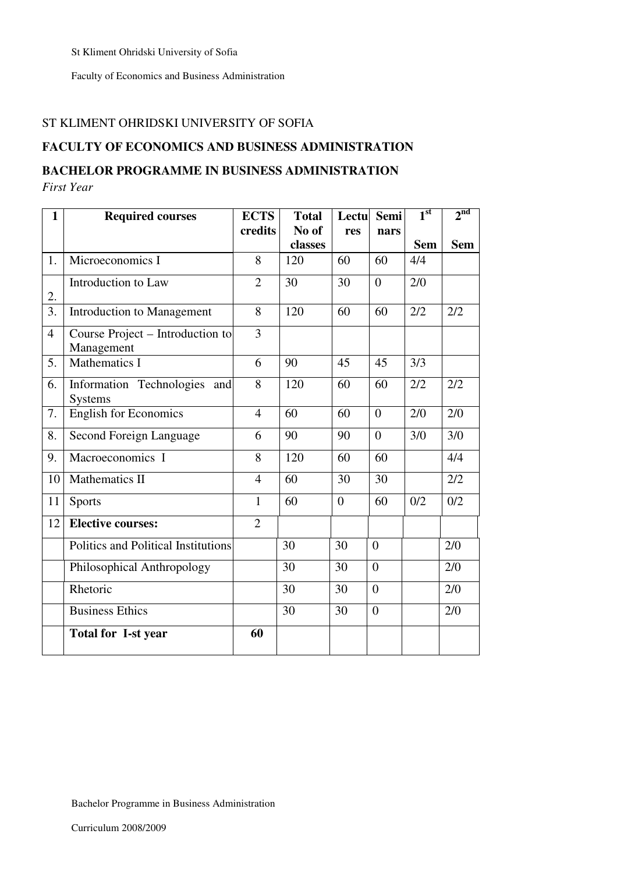St Kliment Ohridski University of Sofia

Faculty of Economics and Business Administration

#### ST KLIMENT OHRIDSKI UNIVERSITY OF SOFIA

#### **FACULTY OF ECONOMICS AND BUSINESS ADMINISTRATION**

#### **BACHELOR PROGRAMME IN BUSINESS ADMINISTRATION**

*First Year* 

| $\mathbf{1}$   | <b>Required courses</b>                           | <b>ECTS</b>    | <b>Total</b> | Lectu          | Semi           | 1 <sup>st</sup> | 2 <sup>nd</sup> |
|----------------|---------------------------------------------------|----------------|--------------|----------------|----------------|-----------------|-----------------|
|                |                                                   | credits        | No of        | res            | nars           |                 |                 |
|                |                                                   |                | classes      |                |                | <b>Sem</b>      | <b>Sem</b>      |
| 1.             | Microeconomics I                                  | 8              | 120          | 60             | 60             | 4/4             |                 |
| 2.             | Introduction to Law                               | $\overline{2}$ | 30           | 30             | $\overline{0}$ | 2/0             |                 |
| 3.             | <b>Introduction to Management</b>                 | 8              | 120          | 60             | 60             | 2/2             | 2/2             |
| $\overline{4}$ | Course Project – Introduction to<br>Management    | 3              |              |                |                |                 |                 |
| 5.             | <b>Mathematics I</b>                              | 6              | 90           | 45             | 45             | 3/3             |                 |
| 6.             | Information Technologies<br>and<br><b>Systems</b> | 8              | 120          | 60             | 60             | 2/2             | 2/2             |
| 7.             | <b>English for Economics</b>                      | $\overline{4}$ | 60           | 60             | $\overline{0}$ | 2/0             | 2/0             |
| 8.             | Second Foreign Language                           | 6              | 90           | 90             | $\theta$       | 3/0             | 3/0             |
| 9.             | Macroeconomics I                                  | 8              | 120          | 60             | 60             |                 | 4/4             |
| 10             | Mathematics II                                    | $\overline{4}$ | 60           | 30             | 30             |                 | 2/2             |
| 11             | Sports                                            | $\mathbf{1}$   | 60           | $\overline{0}$ | 60             | 0/2             | 0/2             |
| 12             | <b>Elective courses:</b>                          | $\overline{2}$ |              |                |                |                 |                 |
|                | Politics and Political Institutions               |                | 30           | 30             | $\overline{0}$ |                 | 2/0             |
|                | Philosophical Anthropology                        |                | 30           | 30             | $\overline{0}$ |                 | 2/0             |
|                | Rhetoric                                          |                | 30           | 30             | $\overline{0}$ |                 | 2/0             |
|                | <b>Business Ethics</b>                            |                | 30           | 30             | $\overline{0}$ |                 | 2/0             |
|                | <b>Total for I-st year</b>                        | 60             |              |                |                |                 |                 |

Bachelor Programme in Business Administration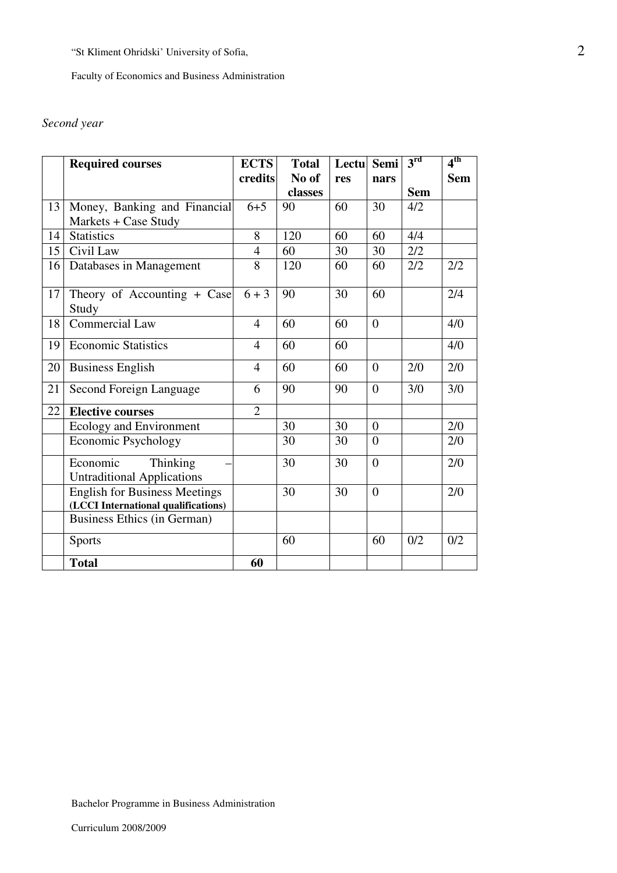Faculty of Economics and Business Administration

# *Second year*

|    | <b>Required courses</b>              | <b>ECTS</b>    | <b>Total</b> | Lectu | Semi             | 3 <sup>rd</sup> | 4 <sup>th</sup> |
|----|--------------------------------------|----------------|--------------|-------|------------------|-----------------|-----------------|
|    |                                      | credits        | No of        | res   | nars             |                 | <b>Sem</b>      |
|    |                                      |                | classes      |       |                  | <b>Sem</b>      |                 |
| 13 | Money, Banking and Financial         | $6 + 5$        | 90           | 60    | 30               | 4/2             |                 |
|    | Markets + Case Study                 |                |              |       |                  |                 |                 |
| 14 | <b>Statistics</b>                    | 8              | 120          | 60    | 60               | 4/4             |                 |
| 15 | Civil Law                            | $\overline{4}$ | 60           | 30    | 30               | 2/2             |                 |
| 16 | Databases in Management              | 8              | 120          | 60    | 60               | 2/2             | 2/2             |
|    |                                      |                |              |       |                  |                 |                 |
| 17 | Theory of Accounting + Case          | $6 + 3$        | 90           | 30    | 60               |                 | 2/4             |
|    | Study                                |                |              |       |                  |                 |                 |
| 18 | <b>Commercial Law</b>                | $\overline{4}$ | 60           | 60    | $\overline{0}$   |                 | 4/0             |
| 19 | <b>Economic Statistics</b>           | $\overline{4}$ | 60           | 60    |                  |                 | 4/0             |
| 20 | <b>Business English</b>              | $\overline{4}$ | 60           | 60    | $\boldsymbol{0}$ | 2/0             | 2/0             |
|    |                                      |                |              |       |                  |                 |                 |
| 21 | Second Foreign Language              | 6              | 90           | 90    | $\theta$         | 3/0             | 3/0             |
| 22 | <b>Elective courses</b>              | $\overline{2}$ |              |       |                  |                 |                 |
|    | Ecology and Environment              |                | 30           | 30    | $\overline{0}$   |                 | 2/0             |
|    | <b>Economic Psychology</b>           |                | 30           | 30    | $\overline{0}$   |                 | 2/0             |
|    | Economic<br>Thinking                 |                | 30           | 30    | $\overline{0}$   |                 | 2/0             |
|    | <b>Untraditional Applications</b>    |                |              |       |                  |                 |                 |
|    | <b>English for Business Meetings</b> |                | 30           | 30    | $\theta$         |                 | 2/0             |
|    | (LCCI International qualifications)  |                |              |       |                  |                 |                 |
|    | Business Ethics (in German)          |                |              |       |                  |                 |                 |
|    | <b>Sports</b>                        |                | 60           |       | 60               | 0/2             | 0/2             |
|    | <b>Total</b>                         | 60             |              |       |                  |                 |                 |

Bachelor Programme in Business Administration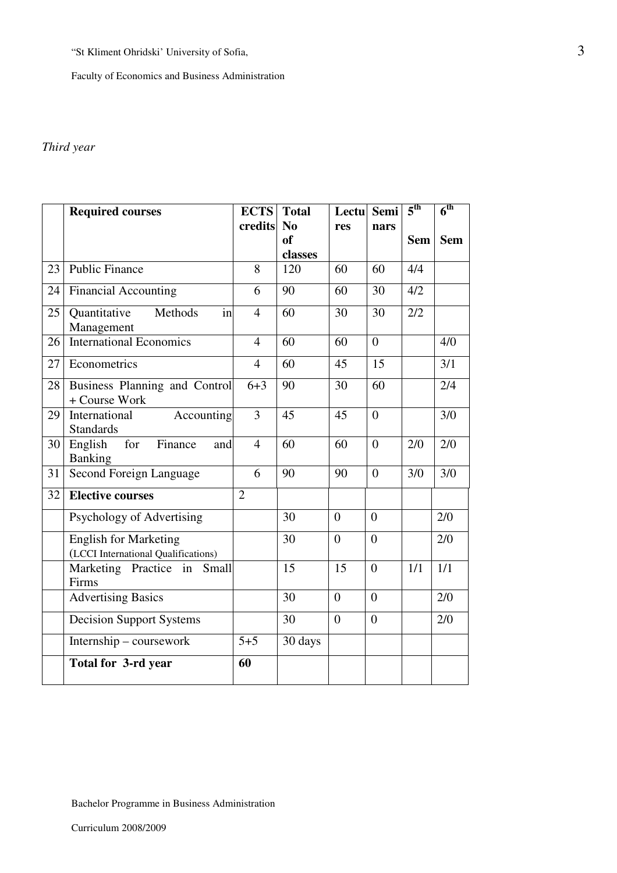Faculty of Economics and Business Administration

# *Third year*

|    | <b>Required courses</b>                                             | <b>ECTS</b>    | <b>Total</b>                    | Lectu Semi     |                  | 5 <sup>th</sup> | $6^{\text{th}}$ |
|----|---------------------------------------------------------------------|----------------|---------------------------------|----------------|------------------|-----------------|-----------------|
|    |                                                                     | credits        | N <sub>0</sub><br><sub>of</sub> | res            | nars             | <b>Sem</b>      | <b>Sem</b>      |
|    |                                                                     |                | classes                         |                |                  |                 |                 |
| 23 | <b>Public Finance</b>                                               | 8              | 120                             | 60             | 60               | 4/4             |                 |
| 24 | <b>Financial Accounting</b>                                         | 6              | 90                              | 60             | 30               | 4/2             |                 |
| 25 | Quantitative<br>Methods<br>in<br>Management                         | $\overline{4}$ | 60                              | 30             | 30               | 2/2             |                 |
| 26 | <b>International Economics</b>                                      | $\overline{4}$ | 60                              | 60             | $\theta$         |                 | 4/0             |
| 27 | Econometrics                                                        | $\overline{4}$ | 60                              | 45             | 15               |                 | 3/1             |
| 28 | Business Planning and Control<br>+ Course Work                      | $6 + 3$        | 90                              | 30             | 60               |                 | 2/4             |
| 29 | International<br>Accounting<br><b>Standards</b>                     | 3              | 45                              | 45             | $\theta$         |                 | 3/0             |
| 30 | for<br>Finance<br>English<br>and<br><b>Banking</b>                  | $\overline{4}$ | 60                              | 60             | $\overline{0}$   | 2/0             | 2/0             |
| 31 | <b>Second Foreign Language</b>                                      | 6              | 90                              | 90             | $\overline{0}$   | 3/0             | 3/0             |
| 32 | <b>Elective courses</b>                                             | $\overline{2}$ |                                 |                |                  |                 |                 |
|    | Psychology of Advertising                                           |                | 30                              | $\overline{0}$ | $\overline{0}$   |                 | 2/0             |
|    | <b>English for Marketing</b><br>(LCCI International Qualifications) |                | 30                              | $\overline{0}$ | $\overline{0}$   |                 | 2/0             |
|    | Marketing Practice in<br>Small<br>Firms                             |                | 15                              | 15             | $\boldsymbol{0}$ | 1/1             | 1/1             |
|    | <b>Advertising Basics</b>                                           |                | 30                              | $\overline{0}$ | $\theta$         |                 | 2/0             |
|    | <b>Decision Support Systems</b>                                     |                | 30                              | $\overline{0}$ | $\overline{0}$   |                 | 2/0             |
|    | Internship - coursework                                             | $5 + 5$        | 30 days                         |                |                  |                 |                 |
|    | Total for 3-rd year                                                 | 60             |                                 |                |                  |                 |                 |

Bachelor Programme in Business Administration